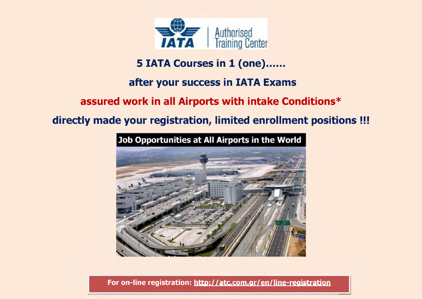

# **5 IATA Courses in 1 (one).**

# **after your success in ΙΑΤΑ Exams**

# **assured work in all Airports with intake Conditions\***

# **directly made your registration, limited enrollment positions !!!**



## **For on-line registration[: http://atc.com.ar/en/line-reaistration](http://atc.com.gr/en/line-registration)**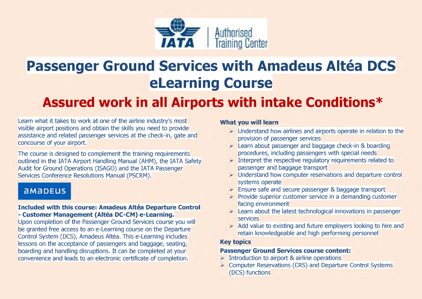

# **Passenger Ground Services with Amadeus Altéa DCS eLearning Course**

# **Assured work in all Airports with intake Conditions\***

Learn what it takes to work at one of the airline industry's most visible airport positions and obtain the skills you need to provide assistance and related passenger services at the check-in, gate and concourse of your airport.

The course is designed to complement the training requirements outlined in the IATA Airport Handling Manual (AHM), the IATA Safety Audit for Ground Operations (ISAGO) and the IATA Passenger Services Conference Resolutions Manual (PSCRM).

## **aM3DEUS**

#### **Included with this course: Amadeus Altéa Departure Control - Customer Management (Altea DC-CM) e-Learning.**

Upon completion of the Passenger Ground Services course you will be granted free access to an e-Learning course on the Departure Control System (DCS), Amadeus Altea. This e-Learning includes lessons on the acceptance of passengers and baggage, seating, boarding and handling disruptions. It can be completed at your convenience and leads to an electronic certificate of completion.

#### **What you will learn**

- $\triangleright$  Understand how airlines and airports operate in relation to the provision of passenger services
- > Learn about passenger and baggage check-in & boarding procedures, including passengers with special needs
- $\triangleright$  Interpret the respective regulatory requirements related to passenger and baggage transport
- > Understand how computer reservations and departure control systems operate
- > Ensure safe and secure passenger & baggage transport
- $\triangleright$  Provide superior customer service in a demanding customer facing environment
- $\triangleright$  Learn about the latest technological innovations in passenger services
- $\triangleright$  Add value to existing and future employers looking to hire and retain knowledgeable and high performing personnel

## **Key topics**

#### **Passenger Ground Services course content:**

- $\triangleright$  Introduction to airport & airline operations
- > Computer Reservations (CRS) and Departure Control Systems (DCS) functions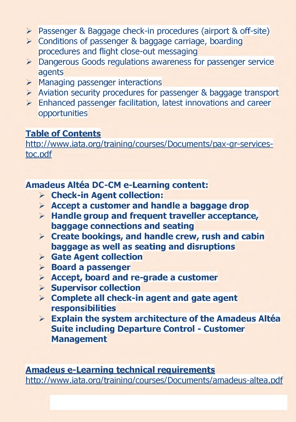- > Passenger & Baggage check-in procedures (airport & off-site)
- > Conditions of passenger & baggage carriage, boarding procedures and flight close-out messaging
- **>** Dangerous Goods regulations awareness for passenger service agents
- $\triangleright$  Managing passenger interactions
- $\triangleright$  Aviation security procedures for passenger & baggage transport
- $\triangleright$  Enhanced passenger facilitation, latest innovations and career opportunities

#### **Table of Contents**

http://www.iata.org/training/courses/Documents/pax-gr-servicestoc.pdf

**Amadeus Altea DC-CM e-Learning content:**

- **> Check-in Agent collection:**
- **> Accept a customer and handle a baggage drop**
- **> Handle group and frequent traveller acceptance, baggage connections and seating**
- **> Create bookings, and handle crew, rush and cabin baggage as well as seating and disruptions**
- **> Gate Agent collection**
- **> Board a passenger**
- **> Accept, board and re-grade a customer**
- **> Supervisor collection**
- **> Complete all check-in agent and gate agent responsibilities**
- **> Explain the system architecture of the Amadeus Altea Suite including Departure Control - Customer Management**

**Amadeus e-Learninq technical requirements** http://www.iata.org/training/courses/Documents/amadeus-altea.pdf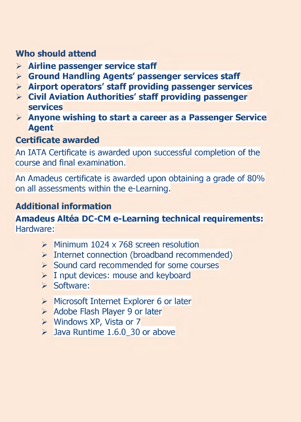## **Who should attend**

- **> Airline passenger service staff**
- **> Ground Handling Agents' passenger services staff**
- **> Airport operators' staff providing passenger services**
- **> Civil Aviation Authorities' staff providing passenger services**
- **> Anyone wishing to start a career as a Passenger Service Agent**

### **Certificate awarded**

An IATA Certificate is awarded upon successful completion of the course and final examination.

An Amadeus certificate is awarded upon obtaining a grade of 80% on all assessments within the e-Learning.

### **Additional information**

#### **Amadeus Altea DC-CM e-Learning technical requirements:** Hardware:

- $\triangleright$  Minimum 1024 x 768 screen resolution
- $\triangleright$  Internet connection (broadband recommended)
- $\triangleright$  Sound card recommended for some courses
- $\triangleright$  I nput devices: mouse and keyboard
- > Software:
- > Microsoft Internet Explorer 6 or later
- > Adobe Flash Player 9 or later
- > Windows XP, Vista or 7
- $\blacktriangleright$  Java Runtime 1.6.0 30 or above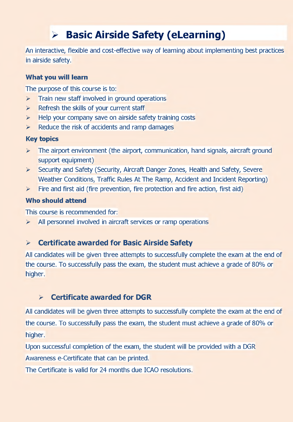# **> Basic Airside Safety (eLearning)**

An interactive, flexible and cost-effective way of learning about implementing best practices in airside safety.

#### **What you will learn**

The purpose of this course is to:

- $\triangleright$  Train new staff involved in ground operations
- $\triangleright$  Refresh the skills of your current staff
- $\triangleright$  Help your company save on airside safety training costs
- $\triangleright$  Reduce the risk of accidents and ramp damages

#### **Key topics**

- $\triangleright$  The airport environment (the airport, communication, hand signals, aircraft ground support equipment)
- > Security and Safety (Security, Aircraft Danger Zones, Health and Safety, Severe Weather Conditions, Traffic Rules At The Ramp, Accident and Incident Reporting)
- $\triangleright$  Fire and first aid (fire prevention, fire protection and fire action, first aid)

#### **Who should attend**

This course is recommended for:

 $\triangleright$  All personnel involved in aircraft services or ramp operations

#### **> Certificate awarded for Basic Airside Safety**

All candidates will be given three attempts to successfully complete the exam at the end of the course. To successfully pass the exam, the student must achieve a grade of 80% or higher.

#### **> Certificate awarded for DGR**

All candidates will be given three attempts to successfully complete the exam at the end of the course. To successfully pass the exam, the student must achieve a grade of 80% or higher.

Upon successful completion of the exam, the student will be provided with a DGR Awareness e-Certificate that can be printed.

The Certificate is valid for 24 months due ICAO resolutions.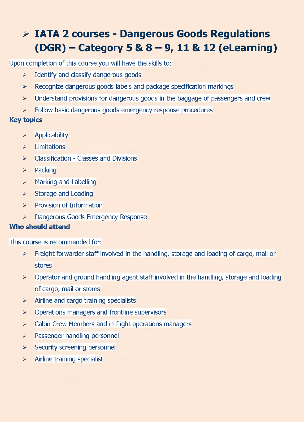## **> ΙΑΤΑ 2 courses - Dangerous Goods Regulations (DGR) - Category 5 & 8 - 9,11 & 12 (eLearning)**

Upon completion of this course you will have the skills to:

- $\triangleright$  Identify and classify dangerous goods
- $\triangleright$  Recognize dangerous goods labels and package specification markings
- $\triangleright$  Understand provisions for dangerous goods in the baggage of passengers and crew
- $\triangleright$  Follow basic dangerous goods emergency response procedures

#### **Key topics**

- > Applicability
- > Limitations
- $\triangleright$  Classification Classes and Divisions
- > Packing
- **>** Marking and Labelling
- **>** Storage and Loading
- **>** Provision of Information
- **>** Dangerous Goods Emergency Response

#### **Who should attend**

This course is recommended for:

- $\triangleright$  Freight forwarder staff involved in the handling, storage and loading of cargo, mail or stores
- $\triangleright$  Operator and ground handling agent staff involved in the handling, storage and loading of cargo, mail or stores
- $\triangleright$  Airline and cargo training specialists
- $\triangleright$  Operations managers and frontline supervisors
- $\triangleright$  Cabin Crew Members and in-flight operations managers
- > Passenger handling personnel
- > Security screening personnel
- $\triangleright$  Airline training specialist